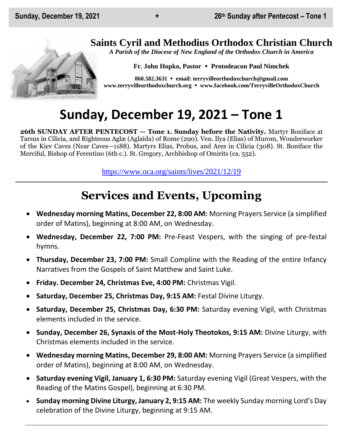## **Saints Cyril and Methodius Orthodox Christian Church**

*A Parish of the Diocese of New England of the Orthodox Church in America*

**Fr. John Hopko, Pastor Protodeacon Paul Nimchek**

**860.582.3631 email: [terryvilleorthodoxchurch@gmail.com](mailto:saintcyril@snet.net) [www.terryvilleorthodoxchurch.org](http://www.terryvilleorthodoxchurch.org/) [www.facebook.com/TerryvilleOrthodoxChurch](http://www.facebook.com/TerryvilleOrthodoxChurch)**

# **Sunday, December 19, 2021 – Tone 1**

**26th SUNDAY AFTER PENTECOST — Tone 1. Sunday before the Nativity.** Martyr Boniface at Tarsus in Cilicia, and Righteous Aglæ (Aglaída) of Rome (290). Ven. Ilya (Elias) of Murom, Wonderworker of the Kiev Caves (Near Caves—1188). Martyrs Elias, Probus, and Ares in Cilicia (308). St. Boniface the Merciful, Bishop of Ferentino (6th c.). St. Gregory, Archbishop of Omirits (ca. 552).

<https://www.oca.org/saints/lives/2021/12/19>

# **Services and Events, Upcoming**

- **Wednesday morning Matins, December 22, 8:00 AM:** Morning Prayers Service (a simplified order of Matins), beginning at 8:00 AM, on Wednesday.
- **Wednesday, December 22, 7:00 PM:** Pre-Feast Vespers, with the singing of pre-festal hymns.
- **Thursday, December 23, 7:00 PM:** Small Compline with the Reading of the entire Infancy Narratives from the Gospels of Saint Matthew and Saint Luke.
- **Friday. December 24, Christmas Eve, 4:00 PM:** Christmas Vigil.
- **Saturday, December 25, Christmas Day, 9:15 AM: Festal Divine Liturgy.**
- **Saturday, December 25, Christmas Day, 6:30 PM:** Saturday evening Vigil, with Christmas elements included in the service.
- **Sunday, December 26, Synaxis of the Most-Holy Theotokos, 9:15 AM:** Divine Liturgy, with Christmas elements included in the service.
- **Wednesday morning Matins, December 29, 8:00 AM:** Morning Prayers Service (a simplified order of Matins), beginning at 8:00 AM, on Wednesday.
- **Saturday evening Vigil, January 1, 6:30 PM:** Saturday evening Vigil (Great Vespers, with the Reading of the Matins Gospel), beginning at 6:30 PM.
- **Sunday morning Divine Liturgy, January 2, 9:15 AM:** The weekly Sunday morning Lord's Day celebration of the Divine Liturgy, beginning at 9:15 AM.

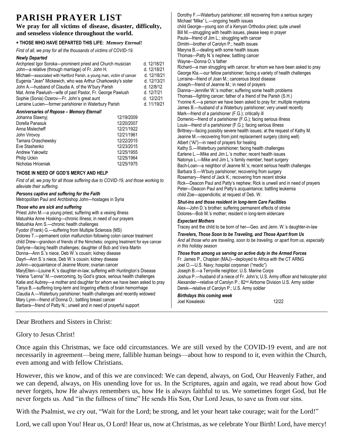### **PARISH PRAYER LIST**

**We pray for all victims of disease, disaster, difficulty, and senseless violence throughout the world.**

#### **+ THOSE WHO HAVE DEPARTED THIS LIFE:** *Memory Eternal!*

*First of all, we pray for all the thousands of victims of COVID-19.* 

#### *Newly Departed*

| ncwly Departeu<br>Archpriest Igor Soroka-prominent priest and Church musician<br>John-a relative (through marriage) of Fr. John H.<br>Michael-associated with Hartford Parish, a young man, victim of cancer<br>Eugenia "Jean" Mickewich, who was Arthur Charkowsky's sister<br>John A.-husband of Claudia A. of the W'bury Parish<br>Mat. Anne Pawlush-wife of past Pastor, Fr. George Pawlush<br>Sophie (Sonia) Ozerov-Fr. John's great aunt<br>Larraine Lucien-former parishioner in Waterbury Parish                                                                                                                                                                                                                                                                                                                                                                                                                                                                                                                                                                                                                                                                                                              |                                                                                                                            | d. 12/18/21<br>d. 12/18/21<br>d. 12/18/21<br>d. 12/13/21<br>d. 12/8/12<br>d. 12/7/21<br>d. 12/2/21<br>d. 11/19/21 | Wa<br>Ricl<br>Gec<br>Lorr<br>Jos<br>Dia<br>Tho<br>Yvo<br>Jam                                                                |
|-----------------------------------------------------------------------------------------------------------------------------------------------------------------------------------------------------------------------------------------------------------------------------------------------------------------------------------------------------------------------------------------------------------------------------------------------------------------------------------------------------------------------------------------------------------------------------------------------------------------------------------------------------------------------------------------------------------------------------------------------------------------------------------------------------------------------------------------------------------------------------------------------------------------------------------------------------------------------------------------------------------------------------------------------------------------------------------------------------------------------------------------------------------------------------------------------------------------------|----------------------------------------------------------------------------------------------------------------------------|-------------------------------------------------------------------------------------------------------------------|-----------------------------------------------------------------------------------------------------------------------------|
| Anniversaries of Repose - Memory Eternal!<br>Johanna Slawnyj<br>Dorella Panasuk<br>Anna Mislecheff<br>John Virovov<br>Tamara Oraschewsky<br>Eve Stashenko<br>Andrew Yakowitz<br>Philip Uckin<br>Nicholas Hriceniak                                                                                                                                                                                                                                                                                                                                                                                                                                                                                                                                                                                                                                                                                                                                                                                                                                                                                                                                                                                                    | 12/19/2009<br>12/20/2007<br>12/21/1922<br>12/21/1961<br>12/22/2015<br>12/23/2015<br>12/25/1955<br>12/25/1964<br>12/25/1975 |                                                                                                                   | Mar<br>Dor<br>Lou<br><b>Britt</b><br>Jea<br>Albe<br>Katl<br>Earl<br>Nat<br>Bac                                              |
| THOSE IN NEED OF GOD'S MERCY AND HELP                                                                                                                                                                                                                                                                                                                                                                                                                                                                                                                                                                                                                                                                                                                                                                                                                                                                                                                                                                                                                                                                                                                                                                                 |                                                                                                                            |                                                                                                                   | Bar<br>Ros                                                                                                                  |
| First of all, we pray for all those suffering due to COVID-19, and those working to<br>alleviate their suffering.                                                                                                                                                                                                                                                                                                                                                                                                                                                                                                                                                                                                                                                                                                                                                                                                                                                                                                                                                                                                                                                                                                     |                                                                                                                            |                                                                                                                   | Ricl<br>Pet                                                                                                                 |
| Persons captive and suffering for the Faith<br>Metropolitan Paul and Archbishop John-hostages in Syria                                                                                                                                                                                                                                                                                                                                                                                                                                                                                                                                                                                                                                                                                                                                                                                                                                                                                                                                                                                                                                                                                                                |                                                                                                                            |                                                                                                                   | chil<br>Shu                                                                                                                 |
| Those who are sick and suffering<br>Priest John M.-a young priest, suffering with a vexing illness<br>Matushka Anne Hosking-chronic illness; in need of our prayers<br>Matushka Ann S.-chronic health challenges<br>Fyodor (Frank) G.-suffering from Multiple Sclerosis (MS)<br>Dolores T.--permanent colon malfunction following colon cancer treatment<br>child Drew—grandson of friends of the Nimcheks; ongoing treatment for eye cancer<br>Darlyne-facing health challenges; daughter of Bob and Vera Martin<br>Donna-Ann S.'s niece, Deb W.'s cousin; kidney disease<br>Dayrl-Ann S.'s niece, Deb W.'s cousin; kidney disease<br>JoAnn-acquaintance of Jeanne Moore; ovarian cancer<br>MaryEllen-Louine K.'s daughter-in-law; suffering with Huntington's Disease<br>Yelena "Lenna" M.—overcoming, by God's grace, serious health challenges<br>Katie and Aubrey-a mother and daughter for whom we have been asked to pray<br>Tanya B.-suffering long-term and lingering effects of brain hemorrhage<br>Claudia A.—Waterbury parishioner; health challenges and recently widowed<br>Mary Lynn-friend of Donna O.; battling breast cancer<br>Barbara-friend of Patty N.; unwell and in need of prayerful support |                                                                                                                            |                                                                                                                   | Ale:<br>Dok<br>Exp<br>Tra<br>Tra<br>Ana<br>in tł<br><b>Thc</b><br>Fr. ،<br>Joe<br>Jos<br>Josl<br>Ale:<br>Der<br>Birt<br>Joe |

Dorothy F.—Waterbury parishioner; still recovering from a serious surgery Michael "Mike" L.—ongoing health issues child George—young son of a Kenyan Orthodox priest; quite unwell Bill M.—struggling with health issues, please keep in prayer Paula—friend of Jim L.; struggling with cancer Dimitri—brother of Carolyn P.; health issues Maryna B.—dealing with some health issues Thomas—Patty N.'s nephew; battling cancer yne—Donna O.'s father hard—a man struggling with cancer, for whom we have been asked to pray orge Kla.—our fellow parishioner; facing a variety of health challenges raine—friend of Joan M.; cancerous blood disease eph—friend of Jeanne M.; in need of prayers nna—Jennifer W.'s mother; suffering some health problems omas—fighting cancer; father of a friend of the Parish (S.H.) onne K.—a person we have been asked to pray for; multiple myeloma les B.—husband of a Waterbury parishioner; very unwell recently rk—friend of a parishioner (F.G.); critically ill nenic—friend of a parishioner (F.G.); facing serious illness is—friend of a parishioner (F.G.); facing serious illness tney—facing possibly severe health issues; at the request of Kathy M. nne M.—recovering from joint replacement surgery (doing well) ert ("Al")—in need of prayers for healing hy S.—Waterbury parishioner; facing health challenges lene L.—Mike and Jim L.'s mother; recent health issues onya L.—Mike and Jim L.'s family member; heart surgery ch-Loan—a neighbor of Jeanne M.'s; recent serious health challenges bara S.—W'bury parishioner; recovering from surgery emary—friend of Jack K.; recovering from recent stroke k—Deacon Paul and Patty's nephew; Rick is unwell and in need of prayers er—Deacon Paul and Patty's acquaintance; battling leukemia d Zoe—appendicitis; at request of Deb. W. *Shut-ins and those resident in long-term Care Facilities* x-John D.'s brother; suffering permanent effects of stroke ores-Bob M.'s mother; resident in long-term eldercare *Expectant Mothers*

cey and the child to be born of her—Geo. and Jenn. W.'s daughter-in-law

*Travelers, Those Soon to be Traveling, and Those Apart from Us And all those who are traveling, soon to be traveling, or apart from us, especially in this holiday season Those from among us serving on active duty in the Armed Forces*

James P., Chaplain (MAJ)—deployed to Africa with the CT ARNG O.—U.S. Navy; hospital corpsman ("medic") eph B.—a Terryville neighbor; U.S. Marine Corps hua P.—husband of a niece of Fr. John's; U.S. Army officer and helicopter pilot xander—relative of Carolyn P.; 82<sup>nd</sup> Airborne Division U.S. Army soldier ek—relative of Carolyn P.; U.S. Army soldier *Birthdays this coming week*

Kowaleski 12/22

Dear Brothers and Sisters in Christ:

Glory to Jesus Christ!

Once again this Christmas, we face odd circumstances. We are still vexed by the COVID-19 event, and are not necessarily in agreement—being mere, fallible human beings—about how to respond to it, even within the Church, even among and with fellow Christians.

However, this we know, and of this we are convinced: We can depend, always, on God, Our Heavenly Father, and we can depend, always, on His unending love for us. In the Scriptures, again and again, we read about how God never forgets, how He always remembers us, how He is always faithful to us. We sometimes forget God, but He never forgets us. And "in the fullness of time" He sends His Son, Our Lord Jesus, to save us from our sins.

With the Psalmist, we cry out, "Wait for the Lord; be strong, and let your heart take courage; wait for the Lord!"

Lord, we call upon You! Hear us, O Lord! Hear us, now at Christmas, as we celebrate Your Birth! Lord, have mercy!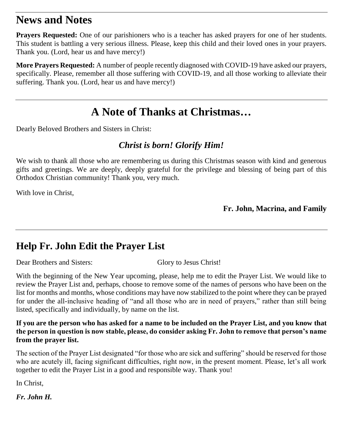### **News and Notes**

**Prayers Requested:** One of our parishioners who is a teacher has asked prayers for one of her students. This student is battling a very serious illness. Please, keep this child and their loved ones in your prayers. Thank you. (Lord, hear us and have mercy!)

**More Prayers Requested:** A number of people recently diagnosed with COVID-19 have asked our prayers, specifically. Please, remember all those suffering with COVID-19, and all those working to alleviate their suffering. Thank you. (Lord, hear us and have mercy!)

## **A Note of Thanks at Christmas…**

Dearly Beloved Brothers and Sisters in Christ:

### *Christ is born! Glorify Him!*

We wish to thank all those who are remembering us during this Christmas season with kind and generous gifts and greetings. We are deeply, deeply grateful for the privilege and blessing of being part of this Orthodox Christian community! Thank you, very much.

With love in Christ,

**Fr. John, Macrina, and Family**

## **Help Fr. John Edit the Prayer List**

Dear Brothers and Sisters: Glory to Jesus Christ!

With the beginning of the New Year upcoming, please, help me to edit the Prayer List. We would like to review the Prayer List and, perhaps, choose to remove some of the names of persons who have been on the list for months and months, whose conditions may have now stabilized to the point where they can be prayed for under the all-inclusive heading of "and all those who are in need of prayers," rather than still being listed, specifically and individually, by name on the list.

**If you are the person who has asked for a name to be included on the Prayer List, and you know that the person in question is now stable, please, do consider asking Fr. John to remove that person's name from the prayer list.**

The section of the Prayer List designated "for those who are sick and suffering" should be reserved for those who are acutely ill, facing significant difficulties, right now, in the present moment. Please, let's all work together to edit the Prayer List in a good and responsible way. Thank you!

In Christ,

*Fr. John H.*